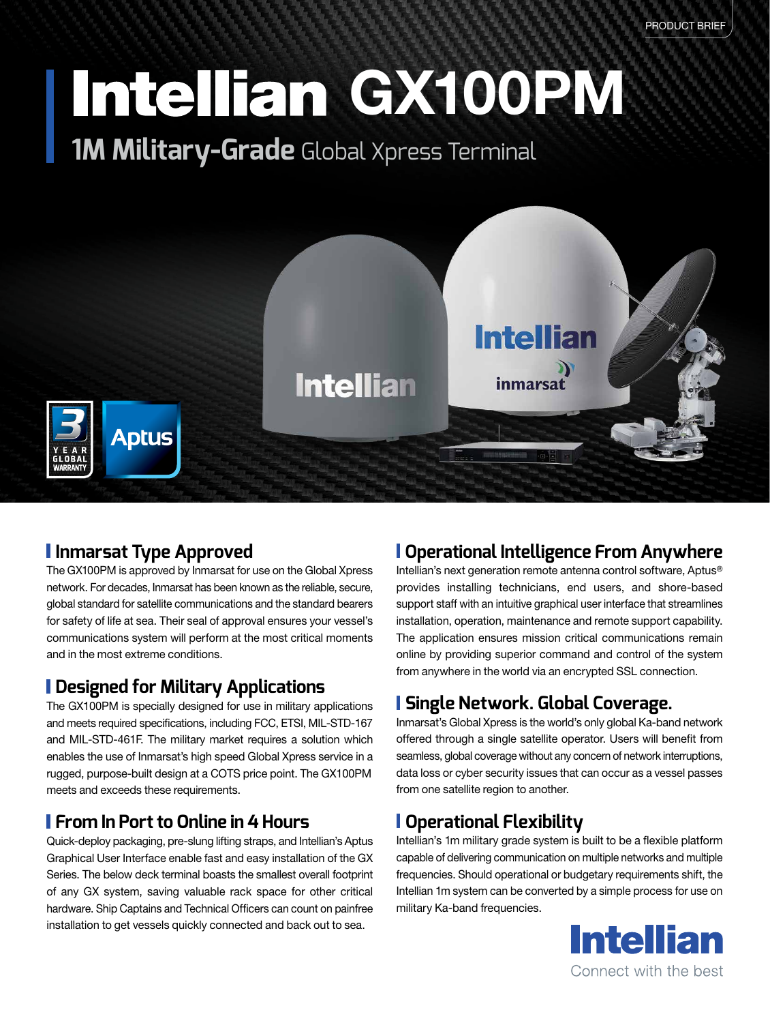# Intellian GX100PM

**1M Military-Grade** Global Xpress Terminal



### **Inmarsat Type Approved**

The GX100PM is approved by Inmarsat for use on the Global Xpress network. For decades, Inmarsat has been known as the reliable, secure, global standard for satellite communications and the standard bearers for safety of life at sea. Their seal of approval ensures your vessel's communications system will perform at the most critical moments and in the most extreme conditions.

#### **Designed for Military Applications**

The GX100PM is specially designed for use in military applications and meets required specifications, including FCC, ETSI, MIL-STD-167 and MIL-STD-461F. The military market requires a solution which enables the use of Inmarsat's high speed Global Xpress service in a rugged, purpose-built design at a COTS price point. The GX100PM meets and exceeds these requirements.

#### **From In Port to Online in 4 Hours**

Quick-deploy packaging, pre-slung lifting straps, and Intellian's Aptus Graphical User Interface enable fast and easy installation of the GX Series. The below deck terminal boasts the smallest overall footprint of any GX system, saving valuable rack space for other critical hardware. Ship Captains and Technical Officers can count on painfree installation to get vessels quickly connected and back out to sea.

### **Operational Intelligence From Anywhere**

Intellian's next generation remote antenna control software, Aptus® provides installing technicians, end users, and shore-based support staff with an intuitive graphical user interface that streamlines installation, operation, maintenance and remote support capability. The application ensures mission critical communications remain online by providing superior command and control of the system from anywhere in the world via an encrypted SSL connection.

### **Single Network. Global Coverage.**

Inmarsat's Global Xpress is the world's only global Ka-band network offered through a single satellite operator. Users will benefit from seamless, global coverage without any concern of network interruptions, data loss or cyber security issues that can occur as a vessel passes from one satellite region to another.

#### **Operational Flexibility**

Intellian's 1m military grade system is built to be a flexible platform capable of delivering communication on multiple networks and multiple frequencies. Should operational or budgetary requirements shift, the Intellian 1m system can be converted by a simple process for use on military Ka-band frequencies.